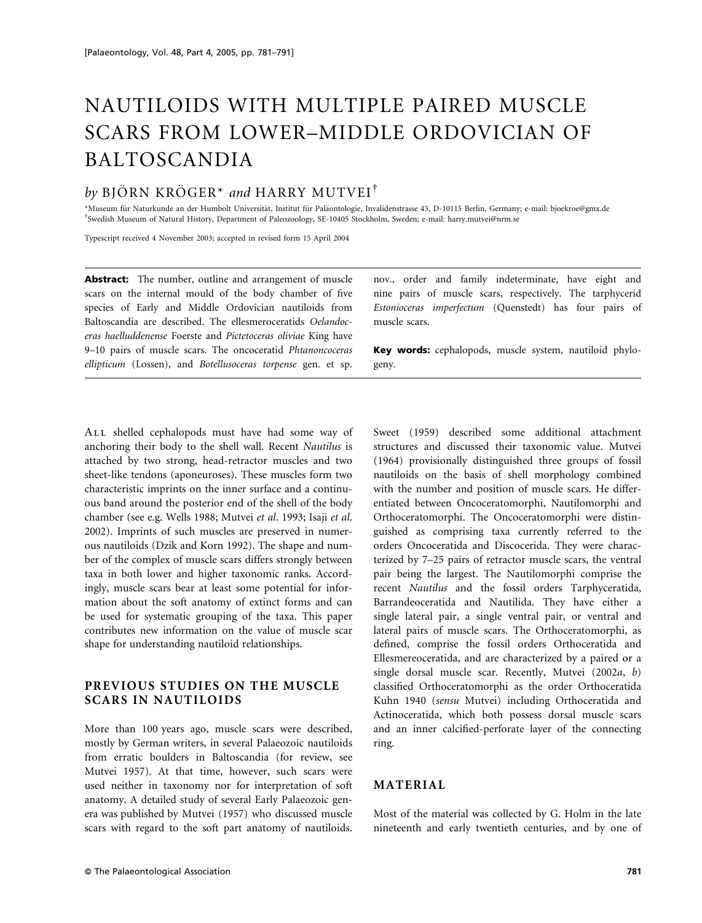# NAUTILOIDS WITH MULTIPLE PAIRED MUSCLE SCARS FROM LOWER–MIDDLE ORDOVICIAN OF BALTOSCANDIA

# by BJÖRN KRÖGER<sup>\*</sup> and HARRY MUTVEI<sup>†</sup>

\*Museum fu¨r Naturkunde an der Humbolt Universita¨t, Institut fu¨r Pala¨ontologie, Invalidenstrasse 43, D-10115 Berlin, Germany; e-mail: bjoekroe@gmx.de Swedish Museum of Natural History, Department of Paleozoology, SE-10405 Stockholm, Sweden; e-mail: harry.mutvei@nrm.se

Typescript received 4 November 2003; accepted in revised form 15 April 2004

Abstract: The number, outline and arrangement of muscle scars on the internal mould of the body chamber of five species of Early and Middle Ordovician nautiloids from Baltoscandia are described. The ellesmeroceratids Oelandoceras haelluddenense Foerste and Pictetoceras oliviae King have 9–10 pairs of muscle scars. The oncoceratid Phtanoncoceras ellipticum (Lossen), and Botellusoceras torpense gen. et sp.

nov., order and family indeterminate, have eight and nine pairs of muscle scars, respectively. The tarphycerid Estonioceras imperfectum (Quenstedt) has four pairs of muscle scars.

Key words: cephalopods, muscle system, nautiloid phylogeny.

ALL shelled cephalopods must have had some way of anchoring their body to the shell wall. Recent Nautilus is attached by two strong, head-retractor muscles and two sheet-like tendons (aponeuroses). These muscles form two characteristic imprints on the inner surface and a continuous band around the posterior end of the shell of the body chamber (see e.g. Wells 1988; Mutvei et al. 1993; Isaji et al. 2002). Imprints of such muscles are preserved in numerous nautiloids (Dzik and Korn 1992). The shape and number of the complex of muscle scars differs strongly between taxa in both lower and higher taxonomic ranks. Accordingly, muscle scars bear at least some potential for information about the soft anatomy of extinct forms and can be used for systematic grouping of the taxa. This paper contributes new information on the value of muscle scar shape for understanding nautiloid relationships.

# PREVIOUS STUDIES ON THE MUSCLE SCARS IN NAUTILOIDS

More than 100 years ago, muscle scars were described, mostly by German writers, in several Palaeozoic nautiloids from erratic boulders in Baltoscandia (for review, see Mutvei 1957). At that time, however, such scars were used neither in taxonomy nor for interpretation of soft anatomy. A detailed study of several Early Palaeozoic genera was published by Mutvei (1957) who discussed muscle scars with regard to the soft part anatomy of nautiloids.

Sweet (1959) described some additional attachment structures and discussed their taxonomic value. Mutvei (1964) provisionally distinguished three groups of fossil nautiloids on the basis of shell morphology combined with the number and position of muscle scars. He differentiated between Oncoceratomorphi, Nautilomorphi and Orthoceratomorphi. The Oncoceratomorphi were distinguished as comprising taxa currently referred to the orders Oncoceratida and Discocerida. They were characterized by 7–25 pairs of retractor muscle scars, the ventral pair being the largest. The Nautilomorphi comprise the recent Nautilus and the fossil orders Tarphyceratida, Barrandeoceratida and Nautilida. They have either a single lateral pair, a single ventral pair, or ventral and lateral pairs of muscle scars. The Orthoceratomorphi, as defined, comprise the fossil orders Orthoceratida and Ellesmereoceratida, and are characterized by a paired or a single dorsal muscle scar. Recently, Mutvei (2002a, b) classified Orthoceratomorphi as the order Orthoceratida Kuhn 1940 (sensu Mutvei) including Orthoceratida and Actinoceratida, which both possess dorsal muscle scars and an inner calcified-perforate layer of the connecting ring.

# MATERIAL

Most of the material was collected by G. Holm in the late nineteenth and early twentieth centuries, and by one of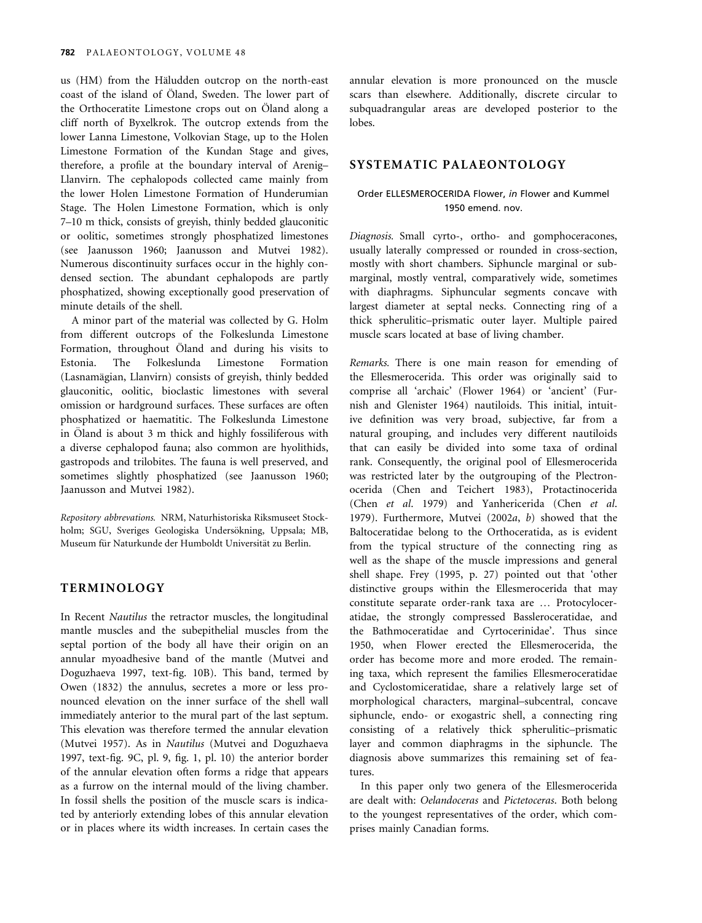us (HM) from the Häludden outcrop on the north-east coast of the island of Öland, Sweden. The lower part of the Orthoceratite Limestone crops out on Öland along a cliff north of Byxelkrok. The outcrop extends from the lower Lanna Limestone, Volkovian Stage, up to the Holen Limestone Formation of the Kundan Stage and gives, therefore, a profile at the boundary interval of Arenig– Llanvirn. The cephalopods collected came mainly from the lower Holen Limestone Formation of Hunderumian Stage. The Holen Limestone Formation, which is only 7–10 m thick, consists of greyish, thinly bedded glauconitic or oolitic, sometimes strongly phosphatized limestones (see Jaanusson 1960; Jaanusson and Mutvei 1982). Numerous discontinuity surfaces occur in the highly condensed section. The abundant cephalopods are partly phosphatized, showing exceptionally good preservation of minute details of the shell.

A minor part of the material was collected by G. Holm from different outcrops of the Folkeslunda Limestone Formation, throughout Öland and during his visits to Estonia. The Folkeslunda Limestone Formation (Lasnamägian, Llanvirn) consists of greyish, thinly bedded glauconitic, oolitic, bioclastic limestones with several omission or hardground surfaces. These surfaces are often phosphatized or haematitic. The Folkeslunda Limestone in Öland is about 3 m thick and highly fossiliferous with a diverse cephalopod fauna; also common are hyolithids, gastropods and trilobites. The fauna is well preserved, and sometimes slightly phosphatized (see Jaanusson 1960; Jaanusson and Mutvei 1982).

Repository abbrevations. NRM, Naturhistoriska Riksmuseet Stockholm; SGU, Sveriges Geologiska Undersökning, Uppsala; MB, Museum für Naturkunde der Humboldt Universität zu Berlin.

# TERMINOLOGY

In Recent Nautilus the retractor muscles, the longitudinal mantle muscles and the subepithelial muscles from the septal portion of the body all have their origin on an annular myoadhesive band of the mantle (Mutvei and Doguzhaeva 1997, text-fig. 10B). This band, termed by Owen (1832) the annulus, secretes a more or less pronounced elevation on the inner surface of the shell wall immediately anterior to the mural part of the last septum. This elevation was therefore termed the annular elevation (Mutvei 1957). As in Nautilus (Mutvei and Doguzhaeva 1997, text-fig. 9C, pl. 9, fig. 1, pl. 10) the anterior border of the annular elevation often forms a ridge that appears as a furrow on the internal mould of the living chamber. In fossil shells the position of the muscle scars is indicated by anteriorly extending lobes of this annular elevation or in places where its width increases. In certain cases the

annular elevation is more pronounced on the muscle scars than elsewhere. Additionally, discrete circular to subquadrangular areas are developed posterior to the lobes.

# SYSTEMATIC PALAEONTOLOGY

## Order ELLESMEROCERIDA Flower, in Flower and Kummel 1950 emend. nov.

Diagnosis. Small cyrto-, ortho- and gomphoceracones, usually laterally compressed or rounded in cross-section, mostly with short chambers. Siphuncle marginal or submarginal, mostly ventral, comparatively wide, sometimes with diaphragms. Siphuncular segments concave with largest diameter at septal necks. Connecting ring of a thick spherulitic–prismatic outer layer. Multiple paired muscle scars located at base of living chamber.

Remarks. There is one main reason for emending of the Ellesmerocerida. This order was originally said to comprise all 'archaic' (Flower 1964) or 'ancient' (Furnish and Glenister 1964) nautiloids. This initial, intuitive definition was very broad, subjective, far from a natural grouping, and includes very different nautiloids that can easily be divided into some taxa of ordinal rank. Consequently, the original pool of Ellesmerocerida was restricted later by the outgrouping of the Plectronocerida (Chen and Teichert 1983), Protactinocerida (Chen et al. 1979) and Yanhericerida (Chen et al. 1979). Furthermore, Mutvei (2002a, b) showed that the Baltoceratidae belong to the Orthoceratida, as is evident from the typical structure of the connecting ring as well as the shape of the muscle impressions and general shell shape. Frey (1995, p. 27) pointed out that 'other distinctive groups within the Ellesmerocerida that may constitute separate order-rank taxa are … Protocyloceratidae, the strongly compressed Bassleroceratidae, and the Bathmoceratidae and Cyrtocerinidae'. Thus since 1950, when Flower erected the Ellesmerocerida, the order has become more and more eroded. The remaining taxa, which represent the families Ellesmeroceratidae and Cyclostomiceratidae, share a relatively large set of morphological characters, marginal–subcentral, concave siphuncle, endo- or exogastric shell, a connecting ring consisting of a relatively thick spherulitic–prismatic layer and common diaphragms in the siphuncle. The diagnosis above summarizes this remaining set of features.

In this paper only two genera of the Ellesmerocerida are dealt with: Oelandoceras and Pictetoceras. Both belong to the youngest representatives of the order, which comprises mainly Canadian forms.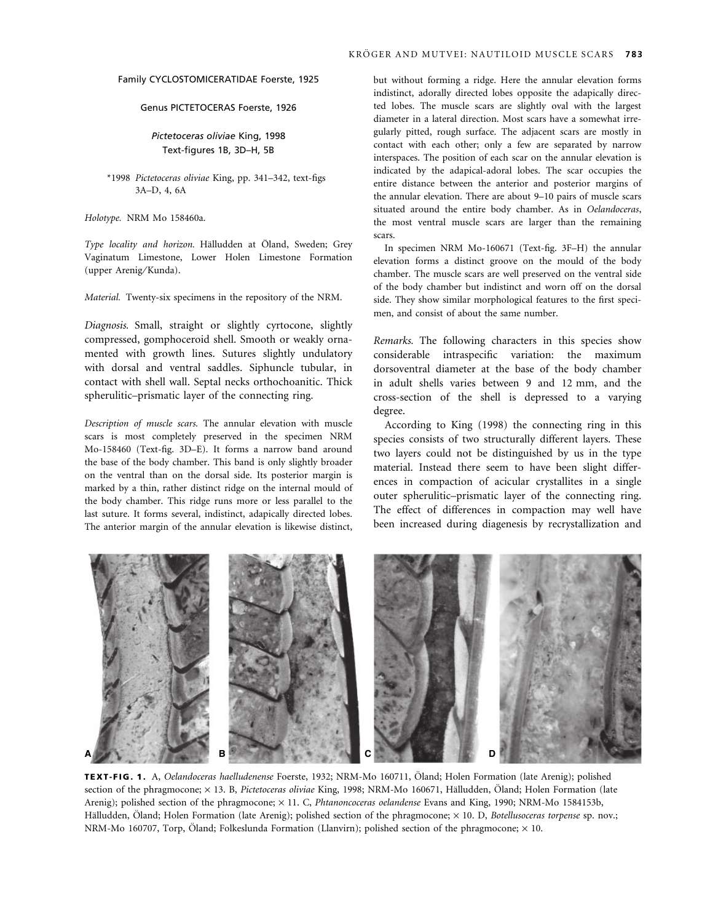#### Family CYCLOSTOMICERATIDAE Foerste, 1925

#### Genus PICTETOCERAS Foerste, 1926

## Pictetoceras oliviae King, 1998 Text-figures 1B, 3D–H, 5B

#### \*1998 Pictetoceras oliviae King, pp. 341–342, text-figs 3A–D, 4, 6A

Holotype. NRM Mo 158460a.

Type locality and horizon. Hälludden at Öland, Sweden; Grey Vaginatum Limestone, Lower Holen Limestone Formation (upper Arenig/Kunda).

Material. Twenty-six specimens in the repository of the NRM.

Diagnosis. Small, straight or slightly cyrtocone, slightly compressed, gomphoceroid shell. Smooth or weakly ornamented with growth lines. Sutures slightly undulatory with dorsal and ventral saddles. Siphuncle tubular, in contact with shell wall. Septal necks orthochoanitic. Thick spherulitic–prismatic layer of the connecting ring.

Description of muscle scars. The annular elevation with muscle scars is most completely preserved in the specimen NRM Mo-158460 (Text-fig. 3D–E). It forms a narrow band around the base of the body chamber. This band is only slightly broader on the ventral than on the dorsal side. Its posterior margin is marked by a thin, rather distinct ridge on the internal mould of the body chamber. This ridge runs more or less parallel to the last suture. It forms several, indistinct, adapically directed lobes. The anterior margin of the annular elevation is likewise distinct,

but without forming a ridge. Here the annular elevation forms indistinct, adorally directed lobes opposite the adapically directed lobes. The muscle scars are slightly oval with the largest diameter in a lateral direction. Most scars have a somewhat irregularly pitted, rough surface. The adjacent scars are mostly in contact with each other; only a few are separated by narrow interspaces. The position of each scar on the annular elevation is indicated by the adapical-adoral lobes. The scar occupies the entire distance between the anterior and posterior margins of the annular elevation. There are about 9–10 pairs of muscle scars situated around the entire body chamber. As in Oelandoceras, the most ventral muscle scars are larger than the remaining scars.

In specimen NRM Mo-160671 (Text-fig. 3F–H) the annular elevation forms a distinct groove on the mould of the body chamber. The muscle scars are well preserved on the ventral side of the body chamber but indistinct and worn off on the dorsal side. They show similar morphological features to the first specimen, and consist of about the same number.

Remarks. The following characters in this species show considerable intraspecific variation: the maximum dorsoventral diameter at the base of the body chamber in adult shells varies between 9 and 12 mm, and the cross-section of the shell is depressed to a varying degree.

According to King (1998) the connecting ring in this species consists of two structurally different layers. These two layers could not be distinguished by us in the type material. Instead there seem to have been slight differences in compaction of acicular crystallites in a single outer spherulitic–prismatic layer of the connecting ring. The effect of differences in compaction may well have been increased during diagenesis by recrystallization and



TEXT-FIG. 1. A, Oelandoceras haelludenense Foerste, 1932; NRM-Mo 160711, Öland; Holen Formation (late Arenig); polished section of the phragmocone; × 13. B, Pictetoceras oliviae King, 1998; NRM-Mo 160671, Hälludden, Öland; Holen Formation (late Arenig); polished section of the phragmocone;  $\times$  11. C, *Phtanoncoceras oelandense* Evans and King, 1990; NRM-Mo 1584153b, Hälludden, Öland; Holen Formation (late Arenig); polished section of the phragmocone;  $\times$  10. D, Botellusoceras torpense sp. nov.; NRM-Mo 160707, Torp, Öland; Folkeslunda Formation (Llanvirn); polished section of the phragmocone;  $\times$  10.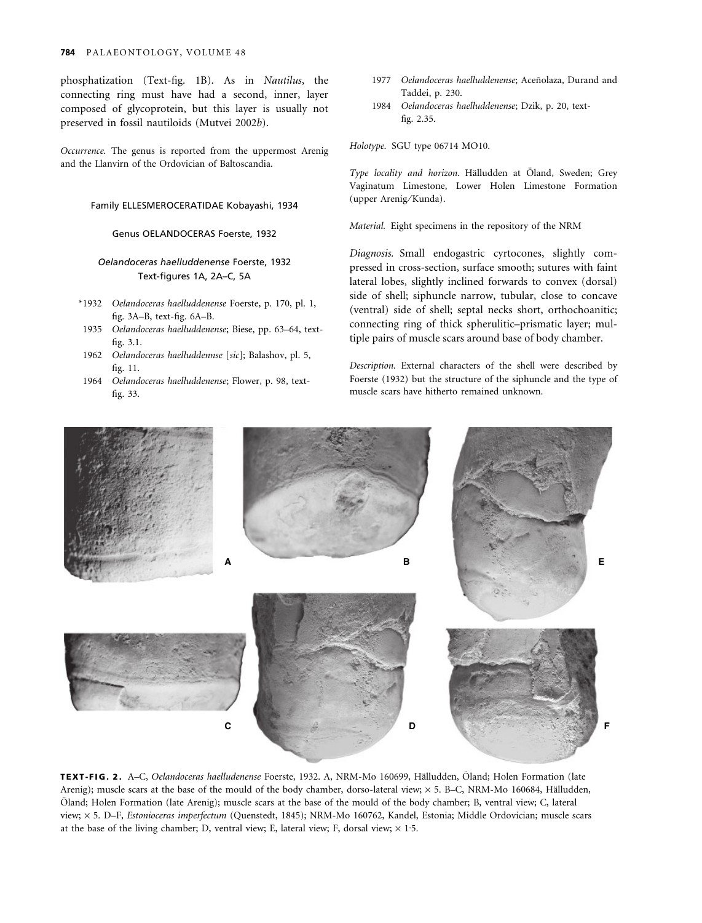phosphatization (Text-fig. 1B). As in Nautilus, the connecting ring must have had a second, inner, layer composed of glycoprotein, but this layer is usually not preserved in fossil nautiloids (Mutvei 2002b).

Occurrence. The genus is reported from the uppermost Arenig and the Llanvirn of the Ordovician of Baltoscandia.

#### Family ELLESMEROCERATIDAE Kobayashi, 1934

#### Genus OELANDOCERAS Foerste, 1932

### Oelandoceras haelluddenense Foerste, 1932 Text-figures 1A, 2A–C, 5A

- \*1932 Oelandoceras haelluddenense Foerste, p. 170, pl. 1, fig. 3A–B, text-fig. 6A–B.
- 1935 Oelandoceras haelluddenense; Biese, pp. 63–64, textfig. 3.1.
- 1962 Oelandoceras haelluddennse [sic]; Balashov, pl. 5, fig. 11.
- 1964 Oelandoceras haelluddenense; Flower, p. 98, textfig. 33.
- 1977 Oelandoceras haelluddenense; Aceñolaza, Durand and Taddei, p. 230.
- 1984 Oelandoceras haelluddenense; Dzik, p. 20, textfig. 2.35.

Holotype. SGU type 06714 MO10.

Type locality and horizon. Hälludden at Öland, Sweden; Grey Vaginatum Limestone, Lower Holen Limestone Formation (upper Arenig/Kunda).

Material. Eight specimens in the repository of the NRM

Diagnosis. Small endogastric cyrtocones, slightly compressed in cross-section, surface smooth; sutures with faint lateral lobes, slightly inclined forwards to convex (dorsal) side of shell; siphuncle narrow, tubular, close to concave (ventral) side of shell; septal necks short, orthochoanitic; connecting ring of thick spherulitic–prismatic layer; multiple pairs of muscle scars around base of body chamber.

Description. External characters of the shell were described by Foerste (1932) but the structure of the siphuncle and the type of muscle scars have hitherto remained unknown.



TEXT-FIG. 2. A–C, Oelandoceras haelludenense Foerste, 1932. A, NRM-Mo 160699, Hälludden, Öland; Holen Formation (late Arenig); muscle scars at the base of the mould of the body chamber, dorso-lateral view;  $\times$  5. B–C, NRM-Mo 160684, Hälludden, Öland; Holen Formation (late Arenig); muscle scars at the base of the mould of the body chamber; B, ventral view; C, lateral view; × 5. D-F, Estonioceras imperfectum (Quenstedt, 1845); NRM-Mo 160762, Kandel, Estonia; Middle Ordovician; muscle scars at the base of the living chamber; D, ventral view; E, lateral view; F, dorsal view;  $\times$  1.5.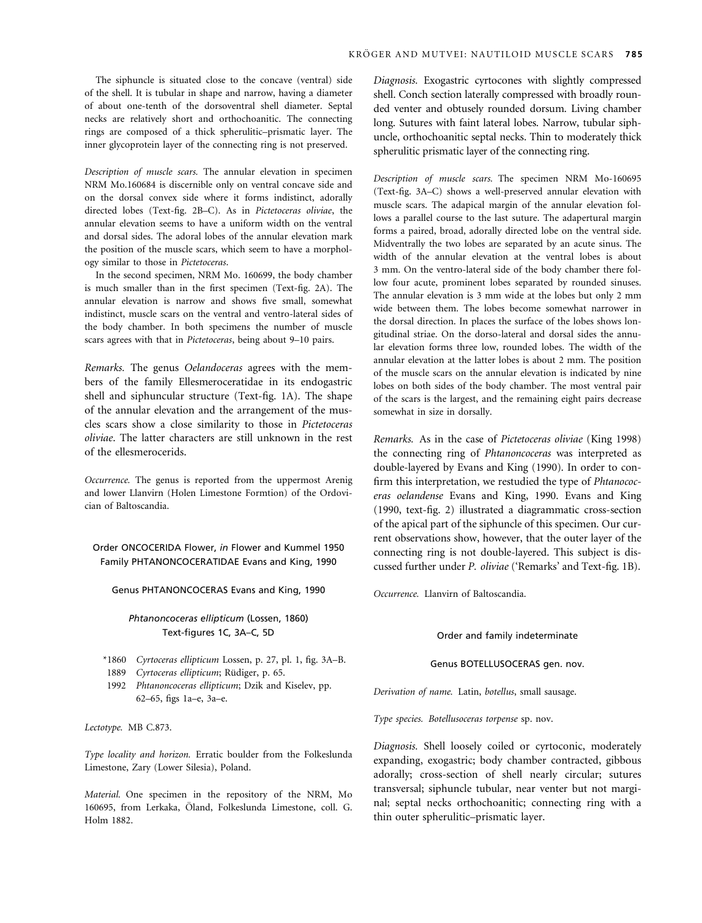The siphuncle is situated close to the concave (ventral) side of the shell. It is tubular in shape and narrow, having a diameter of about one-tenth of the dorsoventral shell diameter. Septal necks are relatively short and orthochoanitic. The connecting rings are composed of a thick spherulitic–prismatic layer. The inner glycoprotein layer of the connecting ring is not preserved.

Description of muscle scars. The annular elevation in specimen NRM Mo.160684 is discernible only on ventral concave side and on the dorsal convex side where it forms indistinct, adorally directed lobes (Text-fig. 2B–C). As in Pictetoceras oliviae, the annular elevation seems to have a uniform width on the ventral and dorsal sides. The adoral lobes of the annular elevation mark the position of the muscle scars, which seem to have a morphology similar to those in Pictetoceras.

In the second specimen, NRM Mo. 160699, the body chamber is much smaller than in the first specimen (Text-fig. 2A). The annular elevation is narrow and shows five small, somewhat indistinct, muscle scars on the ventral and ventro-lateral sides of the body chamber. In both specimens the number of muscle scars agrees with that in Pictetoceras, being about 9–10 pairs.

Remarks. The genus Oelandoceras agrees with the members of the family Ellesmeroceratidae in its endogastric shell and siphuncular structure (Text-fig. 1A). The shape of the annular elevation and the arrangement of the muscles scars show a close similarity to those in Pictetoceras oliviae. The latter characters are still unknown in the rest of the ellesmerocerids.

Occurrence. The genus is reported from the uppermost Arenig and lower Llanvirn (Holen Limestone Formtion) of the Ordovician of Baltoscandia.

Order ONCOCERIDA Flower, in Flower and Kummel 1950 Family PHTANONCOCERATIDAE Evans and King, 1990

#### Genus PHTANONCOCERAS Evans and King, 1990

#### Phtanoncoceras ellipticum (Lossen, 1860) Text-figures 1C, 3A–C, 5D

- \*1860 Cyrtoceras ellipticum Lossen, p. 27, pl. 1, fig. 3A–B.
- 1889 Cyrtoceras ellipticum; Rüdiger, p. 65.
- 1992 Phtanoncoceras ellipticum; Dzik and Kiselev, pp. 62–65, figs 1a–e, 3a–e.

Lectotype. MB C.873.

Type locality and horizon. Erratic boulder from the Folkeslunda Limestone, Zary (Lower Silesia), Poland.

Material. One specimen in the repository of the NRM, Mo 160695, from Lerkaka, Öland, Folkeslunda Limestone, coll. G. Holm 1882.

Diagnosis. Exogastric cyrtocones with slightly compressed shell. Conch section laterally compressed with broadly rounded venter and obtusely rounded dorsum. Living chamber long. Sutures with faint lateral lobes. Narrow, tubular siphuncle, orthochoanitic septal necks. Thin to moderately thick spherulitic prismatic layer of the connecting ring.

Description of muscle scars. The specimen NRM Mo-160695 (Text-fig. 3A–C) shows a well-preserved annular elevation with muscle scars. The adapical margin of the annular elevation follows a parallel course to the last suture. The adapertural margin forms a paired, broad, adorally directed lobe on the ventral side. Midventrally the two lobes are separated by an acute sinus. The width of the annular elevation at the ventral lobes is about 3 mm. On the ventro-lateral side of the body chamber there follow four acute, prominent lobes separated by rounded sinuses. The annular elevation is 3 mm wide at the lobes but only 2 mm wide between them. The lobes become somewhat narrower in the dorsal direction. In places the surface of the lobes shows longitudinal striae. On the dorso-lateral and dorsal sides the annular elevation forms three low, rounded lobes. The width of the annular elevation at the latter lobes is about 2 mm. The position of the muscle scars on the annular elevation is indicated by nine lobes on both sides of the body chamber. The most ventral pair of the scars is the largest, and the remaining eight pairs decrease somewhat in size in dorsally.

Remarks. As in the case of Pictetoceras oliviae (King 1998) the connecting ring of Phtanoncoceras was interpreted as double-layered by Evans and King (1990). In order to confirm this interpretation, we restudied the type of Phtanococeras oelandense Evans and King, 1990. Evans and King (1990, text-fig. 2) illustrated a diagrammatic cross-section of the apical part of the siphuncle of this specimen. Our current observations show, however, that the outer layer of the connecting ring is not double-layered. This subject is discussed further under P. oliviae ('Remarks' and Text-fig. 1B).

Occurrence. Llanvirn of Baltoscandia.

Order and family indeterminate

#### Genus BOTELLUSOCERAS gen. nov.

Derivation of name. Latin, botellus, small sausage.

Type species. Botellusoceras torpense sp. nov.

Diagnosis. Shell loosely coiled or cyrtoconic, moderately expanding, exogastric; body chamber contracted, gibbous adorally; cross-section of shell nearly circular; sutures transversal; siphuncle tubular, near venter but not marginal; septal necks orthochoanitic; connecting ring with a thin outer spherulitic–prismatic layer.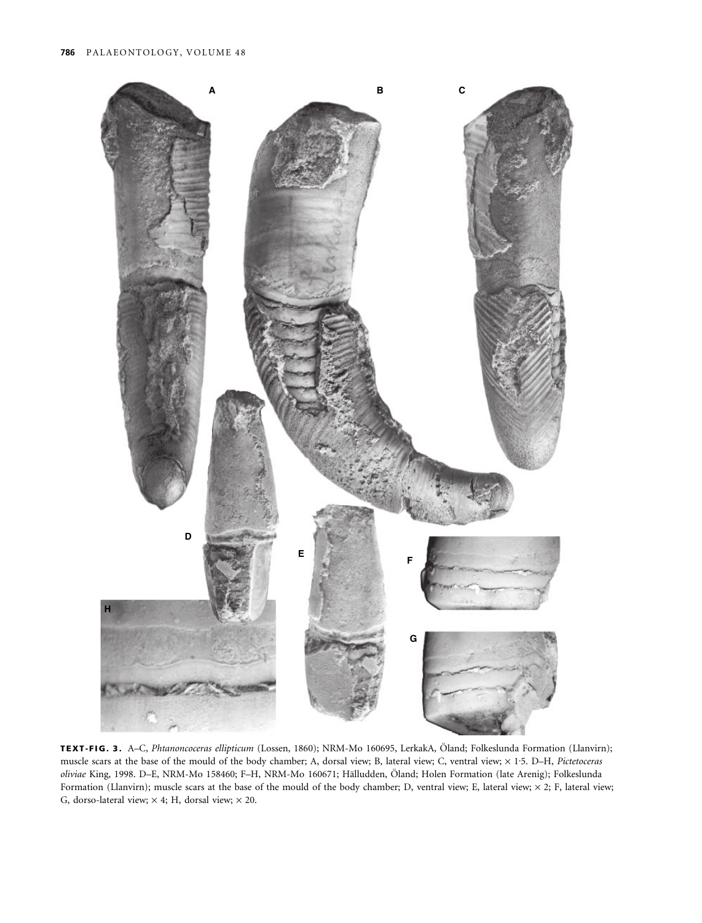

TEXT-FIG. 3. A–C, Phtanoncoceras ellipticum (Lossen, 1860); NRM-Mo 160695, LerkakA, Öland; Folkeslunda Formation (Llanvirn); muscle scars at the base of the mould of the body chamber; A, dorsal view; B, lateral view; C, ventral view;  $\times$  1.5. D-H, Pictetoceras oliviae King, 1998. D–E, NRM-Mo 158460; F–H, NRM-Mo 160671; Hälludden, Öland; Holen Formation (late Arenig); Folkeslunda Formation (Llanvirn); muscle scars at the base of the mould of the body chamber; D, ventral view; E, lateral view;  $\times$  2; F, lateral view; G, dorso-lateral view;  $\times$  4; H, dorsal view;  $\times$  20.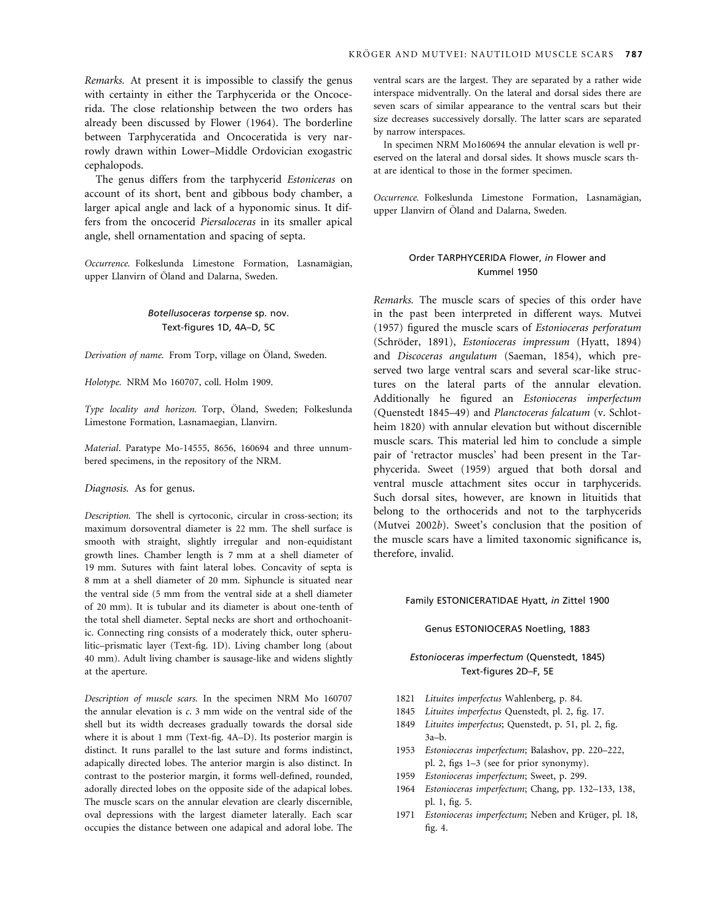Remarks. At present it is impossible to classify the genus with certainty in either the Tarphycerida or the Oncocerida. The close relationship between the two orders has already been discussed by Flower (1964). The borderline between Tarphyceratida and Oncoceratida is very narrowly drawn within Lower–Middle Ordovician exogastric cephalopods.

The genus differs from the tarphycerid Estoniceras on account of its short, bent and gibbous body chamber, a larger apical angle and lack of a hyponomic sinus. It differs from the oncocerid Piersaloceras in its smaller apical angle, shell ornamentation and spacing of septa.

Occurrence. Folkeslunda Limestone Formation, Lasnamägian, upper Llanvirn of Öland and Dalarna, Sweden.

## Botellusoceras torpense sp. nov. Text-figures 1D, 4A–D, 5C

Derivation of name. From Torp, village on Öland, Sweden.

Holotype. NRM Mo 160707, coll. Holm 1909.

Type locality and horizon. Torp, Öland, Sweden; Folkeslunda Limestone Formation, Lasnamaegian, Llanvirn.

Material. Paratype Mo-14555, 8656, 160694 and three unnumbered specimens, in the repository of the NRM.

Diagnosis. As for genus.

Description. The shell is cyrtoconic, circular in cross-section; its maximum dorsoventral diameter is 22 mm. The shell surface is smooth with straight, slightly irregular and non-equidistant growth lines. Chamber length is 7 mm at a shell diameter of 19 mm. Sutures with faint lateral lobes. Concavity of septa is 8 mm at a shell diameter of 20 mm. Siphuncle is situated near the ventral side (5 mm from the ventral side at a shell diameter of 20 mm). It is tubular and its diameter is about one-tenth of the total shell diameter. Septal necks are short and orthochoanitic. Connecting ring consists of a moderately thick, outer spherulitic–prismatic layer (Text-fig. 1D). Living chamber long (about 40 mm). Adult living chamber is sausage-like and widens slightly at the aperture.

Description of muscle scars. In the specimen NRM Mo 160707 the annular elevation is c. 3 mm wide on the ventral side of the shell but its width decreases gradually towards the dorsal side where it is about 1 mm (Text-fig. 4A–D). Its posterior margin is distinct. It runs parallel to the last suture and forms indistinct, adapically directed lobes. The anterior margin is also distinct. In contrast to the posterior margin, it forms well-defined, rounded, adorally directed lobes on the opposite side of the adapical lobes. The muscle scars on the annular elevation are clearly discernible, oval depressions with the largest diameter laterally. Each scar occupies the distance between one adapical and adoral lobe. The

ventral scars are the largest. They are separated by a rather wide interspace midventrally. On the lateral and dorsal sides there are seven scars of similar appearance to the ventral scars but their size decreases successively dorsally. The latter scars are separated by narrow interspaces.

In specimen NRM Mo160694 the annular elevation is well preserved on the lateral and dorsal sides. It shows muscle scars that are identical to those in the former specimen.

Occurrence. Folkeslunda Limestone Formation, Lasnamägian, upper Llanvirn of Öland and Dalarna, Sweden.

## Order TARPHYCERIDA Flower, in Flower and Kummel 1950

Remarks. The muscle scars of species of this order have in the past been interpreted in different ways. Mutvei (1957) figured the muscle scars of Estonioceras perforatum (Schröder, 1891), Estonioceras impressum (Hyatt, 1894) and Discoceras angulatum (Saeman, 1854), which preserved two large ventral scars and several scar-like structures on the lateral parts of the annular elevation. Additionally he figured an Estonioceras imperfectum (Quenstedt 1845–49) and Planctoceras falcatum (v. Schlotheim 1820) with annular elevation but without discernible muscle scars. This material led him to conclude a simple pair of 'retractor muscles' had been present in the Tarphycerida. Sweet (1959) argued that both dorsal and ventral muscle attachment sites occur in tarphycerids. Such dorsal sites, however, are known in lituitids that belong to the orthocerids and not to the tarphycerids (Mutvei 2002b). Sweet's conclusion that the position of the muscle scars have a limited taxonomic significance is, therefore, invalid.

#### Family ESTONICERATIDAE Hyatt, in Zittel 1900

#### Genus ESTONIOCERAS Noetling, 1883

#### Estonioceras imperfectum (Quenstedt, 1845) Text-figures 2D–F, 5E

- 1821 Lituites imperfectus Wahlenberg, p. 84.
- 1845 Lituites imperfectus Quenstedt, pl. 2, fig. 17.
- 1849 Lituites imperfectus; Quenstedt, p. 51, pl. 2, fig. 3a–b.
- 1953 Estonioceras imperfectum; Balashov, pp. 220–222, pl. 2, figs 1–3 (see for prior synonymy).
- 1959 Estonioceras imperfectum; Sweet, p. 299.
- 1964 Estonioceras imperfectum; Chang, pp. 132–133, 138, pl. 1, fig. 5.
- 1971 Estonioceras imperfectum; Neben and Krüger, pl. 18, fig. 4.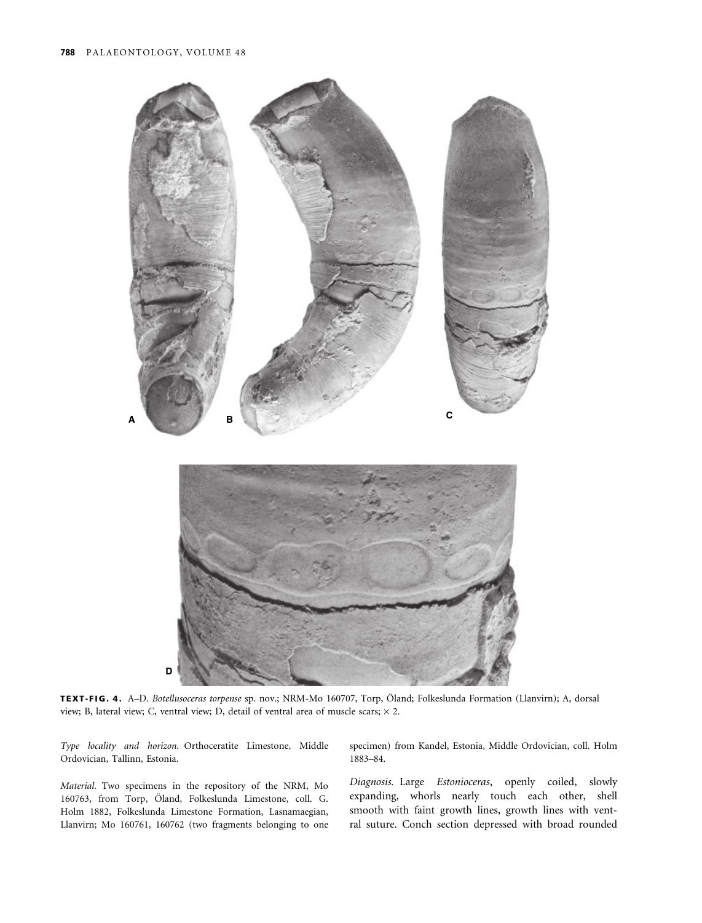

TEXT-FIG. 4. A–D. Botellusoceras torpense sp. nov.; NRM-Mo 160707, Torp, Öland; Folkeslunda Formation (Llanvirn); A, dorsal view; B, lateral view; C, ventral view; D, detail of ventral area of muscle scars;  $\times$  2.

Type locality and horizon. Orthoceratite Limestone, Middle Ordovician, Tallinn, Estonia.

Material. Two specimens in the repository of the NRM, Mo 160763, from Torp, Öland, Folkeslunda Limestone, coll. G. Holm 1882, Folkeslunda Limestone Formation, Lasnamaegian, Llanvirn; Mo 160761, 160762 (two fragments belonging to one

specimen) from Kandel, Estonia, Middle Ordovician, coll. Holm 1883–84.

Diagnosis. Large Estonioceras, openly coiled, slowly expanding, whorls nearly touch each other, shell smooth with faint growth lines, growth lines with ventral suture. Conch section depressed with broad rounded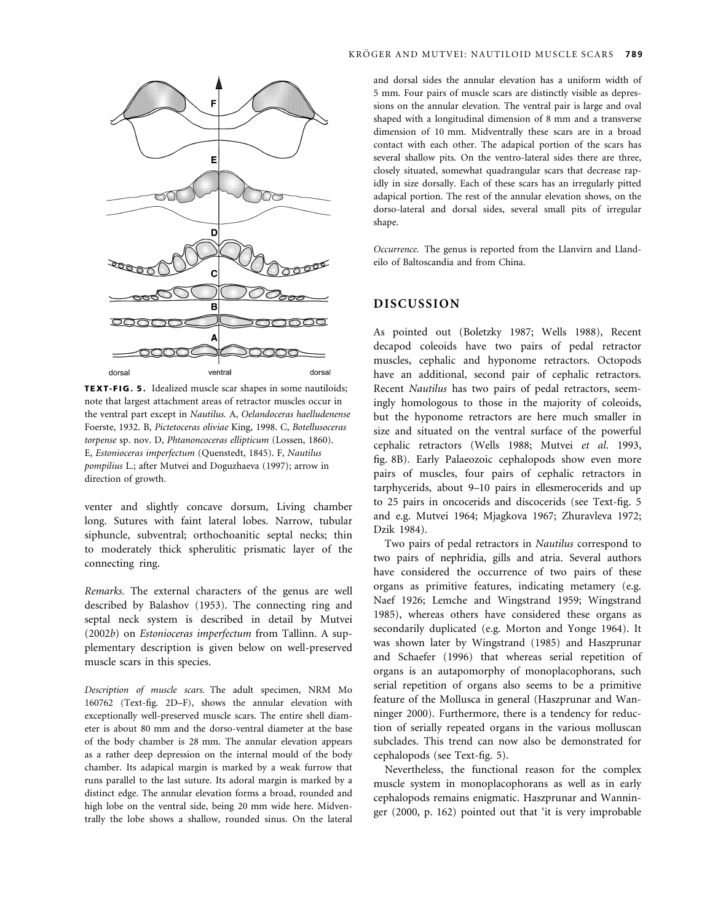

TEXT-FIG. 5. Idealized muscle scar shapes in some nautiloids; note that largest attachment areas of retractor muscles occur in the ventral part except in Nautilus. A, Oelandoceras haelludenense Foerste, 1932. B, Pictetoceras oliviae King, 1998. C, Botellusoceras torpense sp. nov. D, Phtanoncoceras ellipticum (Lossen, 1860). E, Estonioceras imperfectum (Quenstedt, 1845). F, Nautilus pompilius L.; after Mutvei and Doguzhaeva (1997); arrow in direction of growth.

venter and slightly concave dorsum, Living chamber long. Sutures with faint lateral lobes. Narrow, tubular siphuncle, subventral; orthochoanitic septal necks; thin to moderately thick spherulitic prismatic layer of the connecting ring.

Remarks. The external characters of the genus are well described by Balashov (1953). The connecting ring and septal neck system is described in detail by Mutvei (2002b) on Estonioceras imperfectum from Tallinn. A supplementary description is given below on well-preserved muscle scars in this species.

Description of muscle scars. The adult specimen, NRM Mo 160762 (Text-fig. 2D–F), shows the annular elevation with exceptionally well-preserved muscle scars. The entire shell diameter is about 80 mm and the dorso-ventral diameter at the base of the body chamber is 28 mm. The annular elevation appears as a rather deep depression on the internal mould of the body chamber. Its adapical margin is marked by a weak furrow that runs parallel to the last suture. Its adoral margin is marked by a distinct edge. The annular elevation forms a broad, rounded and high lobe on the ventral side, being 20 mm wide here. Midventrally the lobe shows a shallow, rounded sinus. On the lateral

and dorsal sides the annular elevation has a uniform width of 5 mm. Four pairs of muscle scars are distinctly visible as depressions on the annular elevation. The ventral pair is large and oval shaped with a longitudinal dimension of 8 mm and a transverse dimension of 10 mm. Midventrally these scars are in a broad contact with each other. The adapical portion of the scars has several shallow pits. On the ventro-lateral sides there are three, closely situated, somewhat quadrangular scars that decrease rapidly in size dorsally. Each of these scars has an irregularly pitted adapical portion. The rest of the annular elevation shows, on the dorso-lateral and dorsal sides, several small pits of irregular shape.

Occurrence. The genus is reported from the Llanvirn and Llandeilo of Baltoscandia and from China.

## DISCUSSION

As pointed out (Boletzky 1987; Wells 1988), Recent decapod coleoids have two pairs of pedal retractor muscles, cephalic and hyponome retractors. Octopods have an additional, second pair of cephalic retractors. Recent Nautilus has two pairs of pedal retractors, seemingly homologous to those in the majority of coleoids, but the hyponome retractors are here much smaller in size and situated on the ventral surface of the powerful cephalic retractors (Wells 1988; Mutvei et al. 1993, fig. 8B). Early Palaeozoic cephalopods show even more pairs of muscles, four pairs of cephalic retractors in tarphycerids, about 9–10 pairs in ellesmerocerids and up to 25 pairs in oncocerids and discocerids (see Text-fig. 5 and e.g. Mutvei 1964; Mjagkova 1967; Zhuravleva 1972; Dzik 1984).

Two pairs of pedal retractors in Nautilus correspond to two pairs of nephridia, gills and atria. Several authors have considered the occurrence of two pairs of these organs as primitive features, indicating metamery (e.g. Naef 1926; Lemche and Wingstrand 1959; Wingstrand 1985), whereas others have considered these organs as secondarily duplicated (e.g. Morton and Yonge 1964). It was shown later by Wingstrand (1985) and Haszprunar and Schaefer (1996) that whereas serial repetition of organs is an autapomorphy of monoplacophorans, such serial repetition of organs also seems to be a primitive feature of the Mollusca in general (Haszprunar and Wanninger 2000). Furthermore, there is a tendency for reduction of serially repeated organs in the various molluscan subclades. This trend can now also be demonstrated for cephalopods (see Text-fig. 5).

Nevertheless, the functional reason for the complex muscle system in monoplacophorans as well as in early cephalopods remains enigmatic. Haszprunar and Wanninger (2000, p. 162) pointed out that 'it is very improbable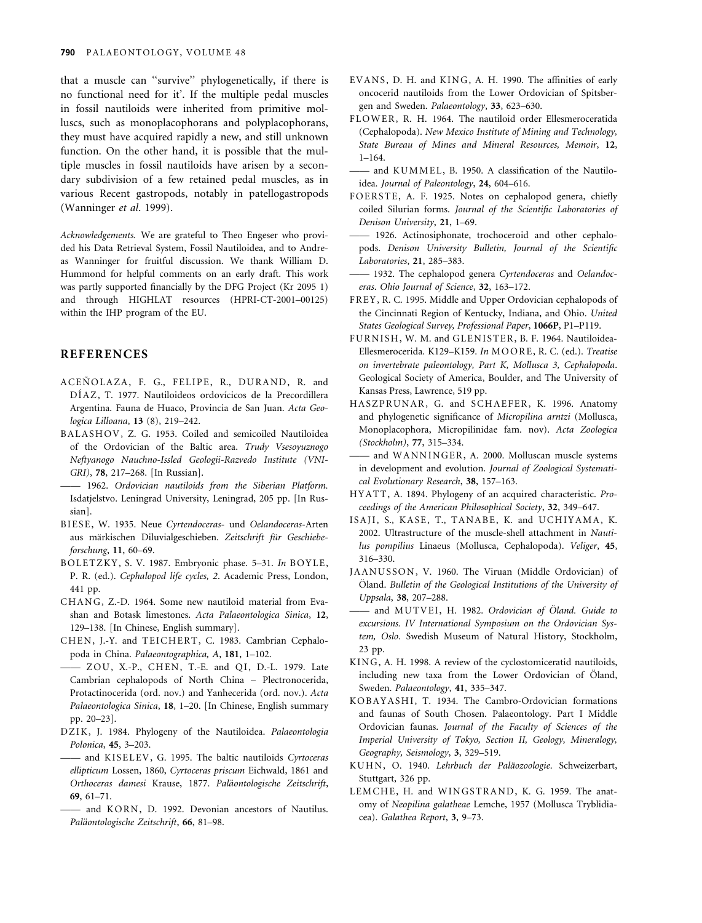that a muscle can ''survive'' phylogenetically, if there is no functional need for it'. If the multiple pedal muscles in fossil nautiloids were inherited from primitive molluscs, such as monoplacophorans and polyplacophorans, they must have acquired rapidly a new, and still unknown function. On the other hand, it is possible that the multiple muscles in fossil nautiloids have arisen by a secondary subdivision of a few retained pedal muscles, as in various Recent gastropods, notably in patellogastropods (Wanninger et al. 1999).

Acknowledgements. We are grateful to Theo Engeser who provided his Data Retrieval System, Fossil Nautiloidea, and to Andreas Wanninger for fruitful discussion. We thank William D. Hummond for helpful comments on an early draft. This work was partly supported financially by the DFG Project (Kr 2095 1) and through HIGHLAT resources (HPRI-CT-2001–00125) within the IHP program of the EU.

## REFERENCES

- ACEÑOLAZA, F. G., FELIPE, R., DURAND, R. and DÍAZ, T. 1977. Nautiloideos ordovícicos de la Precordillera Argentina. Fauna de Huaco, Provincia de San Juan. Acta Geologica Lilloana, 13 (8), 219–242.
- BALASHOV, Z. G. 1953. Coiled and semicoiled Nautiloidea of the Ordovician of the Baltic area. Trudy Vsesoyuznogo Neftyanogo Nauchno-Issled Geologii-Razvedo Institute (VNI-GRI), 78, 217–268. [In Russian].
- —— 1962. Ordovician nautiloids from the Siberian Platform. Isdatjelstvo. Leningrad University, Leningrad, 205 pp. [In Russian].
- BIESE, W. 1935. Neue Cyrtendoceras- und Oelandoceras-Arten aus märkischen Diluvialgeschieben. Zeitschrift für Geschiebeforschung, 11, 60–69.
- BOLETZKY, S. V. 1987. Embryonic phase. 5-31. In BOYLE, P. R. (ed.). Cephalopod life cycles, 2. Academic Press, London, 441 pp.
- CHANG, Z.-D. 1964. Some new nautiloid material from Evashan and Botask limestones. Acta Palaeontologica Sinica, 12, 129–138. [In Chinese, English summary].
- CHEN, J.-Y. and TEICHERT, C. 1983. Cambrian Cephalopoda in China. Palaeontographica, A, 181, 1–102.
- ZOU, X.-P., CHEN, T.-E. and QI, D.-L. 1979. Late Cambrian cephalopods of North China – Plectronocerida, Protactinocerida (ord. nov.) and Yanhecerida (ord. nov.). Acta Palaeontologica Sinica, 18, 1–20. [In Chinese, English summary pp. 20–23].
- DZIK, J. 1984. Phylogeny of the Nautiloidea. Palaeontologia Polonica, 45, 3–203.
- and KISELEV, G. 1995. The baltic nautiloids Cyrtoceras ellipticum Lossen, 1860, Cyrtoceras priscum Eichwald, 1861 and Orthoceras damesi Krause, 1877. Paläontologische Zeitschrift, 69, 61–71.
- and KORN, D. 1992. Devonian ancestors of Nautilus. Paläontologische Zeitschrift, 66, 81-98.
- EVANS, D. H. and KING, A. H. 1990. The affinities of early oncocerid nautiloids from the Lower Ordovician of Spitsbergen and Sweden. Palaeontology, 33, 623–630.
- FLOWER, R. H. 1964. The nautiloid order Ellesmeroceratida (Cephalopoda). New Mexico Institute of Mining and Technology, State Bureau of Mines and Mineral Resources, Memoir, 12, 1–164.
- and KUMMEL, B. 1950. A classification of the Nautiloidea. Journal of Paleontology, 24, 604–616.
- FOERSTE, A. F. 1925. Notes on cephalopod genera, chiefly coiled Silurian forms. Journal of the Scientific Laboratories of Denison University, 21, 1–69.
- —— 1926. Actinosiphonate, trochoceroid and other cephalopods. Denison University Bulletin, Journal of the Scientific Laboratories, 21, 285–383.
- 1932. The cephalopod genera Cyrtendoceras and Oelandoceras. Ohio Journal of Science, 32, 163–172.
- FREY, R. C. 1995. Middle and Upper Ordovician cephalopods of the Cincinnati Region of Kentucky, Indiana, and Ohio. United States Geological Survey, Professional Paper, 1066P, P1–P119.
- FURNISH, W. M. and GLENISTER, B. F. 1964. Nautiloidea-Ellesmerocerida. K129-K159. In MOORE, R. C. (ed.). Treatise on invertebrate paleontology, Part K, Mollusca 3, Cephalopoda. Geological Society of America, Boulder, and The University of Kansas Press, Lawrence, 519 pp.
- HASZPRUNAR, G. and SCHAEFER, K. 1996. Anatomy and phylogenetic significance of Micropilina arntzi (Mollusca, Monoplacophora, Micropilinidae fam. nov). Acta Zoologica (Stockholm), 77, 315–334.
- and WANNINGER, A. 2000. Molluscan muscle systems in development and evolution. Journal of Zoological Systematical Evolutionary Research, 38, 157–163.
- HYATT, A. 1894. Phylogeny of an acquired characteristic. Proceedings of the American Philosophical Society, 32, 349–647.
- ISAJI, S., KASE, T., TANABE, K. and UCHIYAMA, K. 2002. Ultrastructure of the muscle-shell attachment in Nautilus pompilius Linaeus (Mollusca, Cephalopoda). Veliger, 45, 316–330.
- JAANUSSON, V. 1960. The Viruan (Middle Ordovician) of Öland. Bulletin of the Geological Institutions of the University of Uppsala, 38, 207–288.
- and MUTVEI, H. 1982. Ordovician of Öland. Guide to excursions. IV International Symposium on the Ordovician System, Oslo. Swedish Museum of Natural History, Stockholm, 23 pp.
- KING, A. H. 1998. A review of the cyclostomiceratid nautiloids, including new taxa from the Lower Ordovician of Öland, Sweden. Palaeontology, 41, 335–347.
- KOBAYASHI, T. 1934. The Cambro-Ordovician formations and faunas of South Chosen. Palaeontology. Part I Middle Ordovician faunas. Journal of the Faculty of Sciences of the Imperial University of Tokyo, Section II, Geology, Mineralogy, Geography, Seismology, 3, 329–519.
- KUHN, O. 1940. Lehrbuch der Paläozoologie. Schweizerbart, Stuttgart, 326 pp.
- LEMCHE, H. and WINGSTRAND, K. G. 1959. The anatomy of Neopilina galatheae Lemche, 1957 (Mollusca Tryblidiacea). Galathea Report, 3, 9–73.